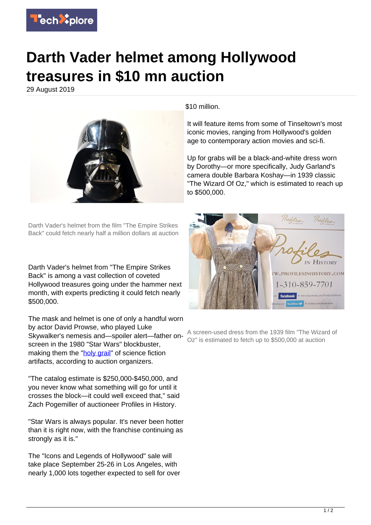

## **Darth Vader helmet among Hollywood treasures in \$10 mn auction**

29 August 2019



Darth Vader's helmet from the film "The Empire Strikes Back" could fetch nearly half a million dollars at auction

Darth Vader's helmet from "The Empire Strikes Back" is among a vast collection of coveted Hollywood treasures going under the hammer next month, with experts predicting it could fetch nearly \$500,000.

The mask and helmet is one of only a handful worn by actor David Prowse, who played Luke Skywalker's nemesis and—spoiler alert—father onscreen in the 1980 "Star Wars" blockbuster, making them the "[holy grail"](https://techxplore.com/tags/holy+grail/) of science fiction artifacts, according to auction organizers.

"The catalog estimate is \$250,000-\$450,000, and you never know what something will go for until it crosses the block—it could well exceed that," said Zach Pogemiller of auctioneer Profiles in History.

"Star Wars is always popular. It's never been hotter than it is right now, with the franchise continuing as strongly as it is."

The "Icons and Legends of Hollywood" sale will take place September 25-26 in Los Angeles, with nearly 1,000 lots together expected to sell for over

\$10 million.

It will feature items from some of Tinseltown's most iconic movies, ranging from Hollywood's golden age to contemporary action movies and sci-fi.

Up for grabs will be a black-and-white dress worn by Dorothy—or more specifically, Judy Garland's camera double Barbara Koshay—in 1939 classic "The Wizard Of Oz," which is estimated to reach up to \$500,000.



A screen-used dress from the 1939 film "The Wizard of Oz" is estimated to fetch up to \$500,000 at auction